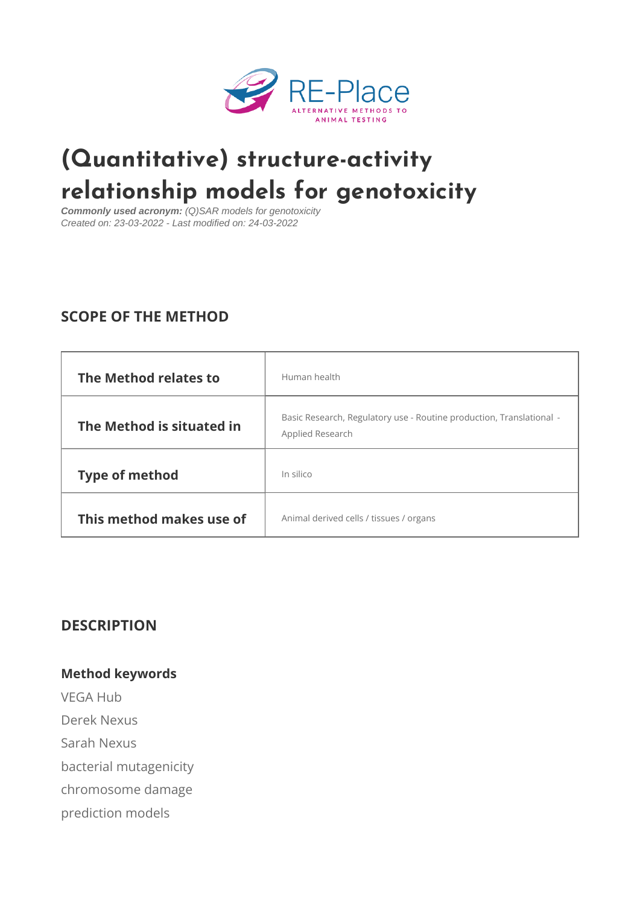# [\(Quantitative\) structure-](https://www.re-place.be/method/quantitative-structure-activity-relationship-models-genotoxicity)activity relationship models for genotoxic

Commonly used acronym: (Q)SAR models for genotoxicity Created on: 23-03-2022 - Last modified on: 24-03-2022

# SCOPE OF THE METHOD

| The Method relates | to Human health                                                                            |  |
|--------------------|--------------------------------------------------------------------------------------------|--|
|                    | The Method is situated in Research, Regulatory use - Routine production, Tr $\overline{ }$ |  |
| Type of method     | In silico                                                                                  |  |
|                    | This method makes usenionfal derived cells / tissues / organs                              |  |

#### DESCRIPTION

Method keywords VEGA Hub Derek Nexus Sarah Nexus bacterial mutagenicity chromosome damage prediction models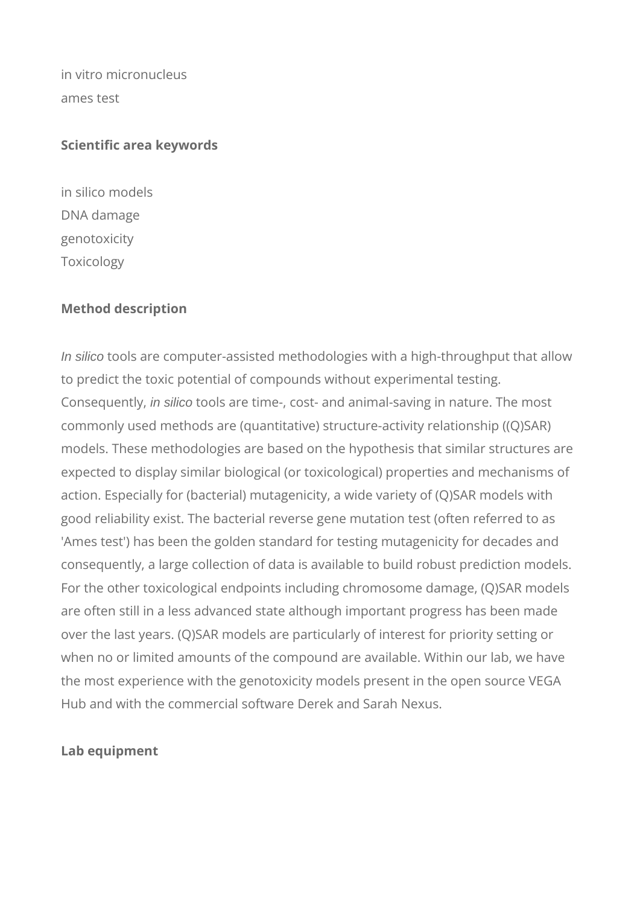in vitro micronucleus ames test

#### **Scientific area keywords**

in silico models DNA damage genotoxicity Toxicology

#### **Method description**

In silico tools are computer-assisted methodologies with a high-throughput that allow to predict the toxic potential of compounds without experimental testing. Consequently, in silico tools are time-, cost- and animal-saving in nature. The most commonly used methods are (quantitative) structure-activity relationship ((Q)SAR) models. These methodologies are based on the hypothesis that similar structures are expected to display similar biological (or toxicological) properties and mechanisms of action. Especially for (bacterial) mutagenicity, a wide variety of (Q)SAR models with good reliability exist. The bacterial reverse gene mutation test (often referred to as 'Ames test') has been the golden standard for testing mutagenicity for decades and consequently, a large collection of data is available to build robust prediction models. For the other toxicological endpoints including chromosome damage, (Q)SAR models are often still in a less advanced state although important progress has been made over the last years. (Q)SAR models are particularly of interest for priority setting or when no or limited amounts of the compound are available. Within our lab, we have the most experience with the genotoxicity models present in the open source VEGA Hub and with the commercial software Derek and Sarah Nexus.

## **Lab equipment**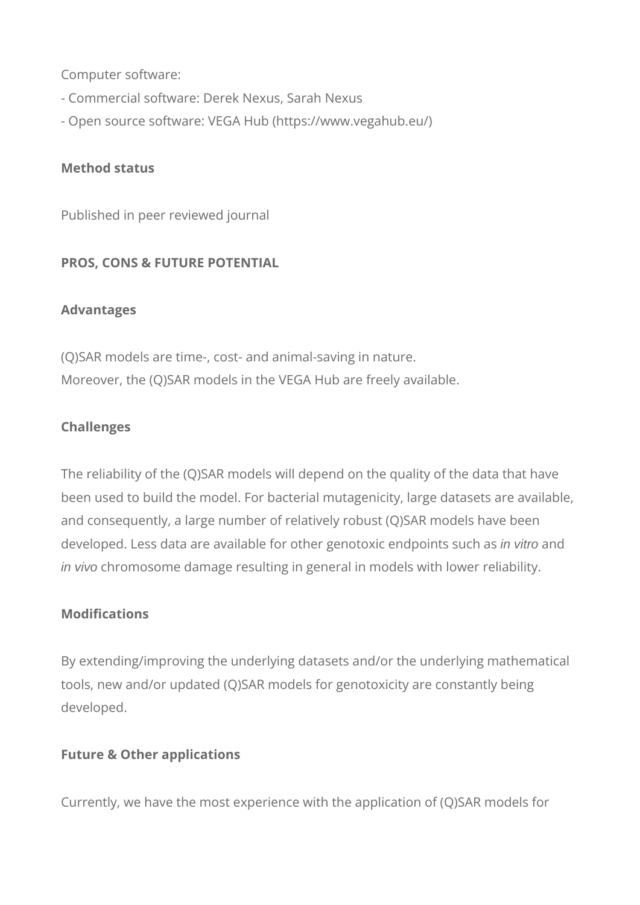Computer software:

- Commercial software: Derek Nexus, Sarah Nexus
- Open source software: VEGA Hub (https://www.vegahub.eu/)

#### **Method status**

Published in peer reviewed journal

## **PROS, CONS & FUTURE POTENTIAL**

#### **Advantages**

(Q)SAR models are time-, cost- and animal-saving in nature. Moreover, the (Q)SAR models in the VEGA Hub are freely available.

## **Challenges**

The reliability of the (Q)SAR models will depend on the quality of the data that have been used to build the model. For bacterial mutagenicity, large datasets are available, and consequently, a large number of relatively robust (Q)SAR models have been developed. Less data are available for other genotoxic endpoints such as in vitro and in vivo chromosome damage resulting in general in models with lower reliability.

#### **Modifications**

By extending/improving the underlying datasets and/or the underlying mathematical tools, new and/or updated (Q)SAR models for genotoxicity are constantly being developed.

## **Future & Other applications**

Currently, we have the most experience with the application of (Q)SAR models for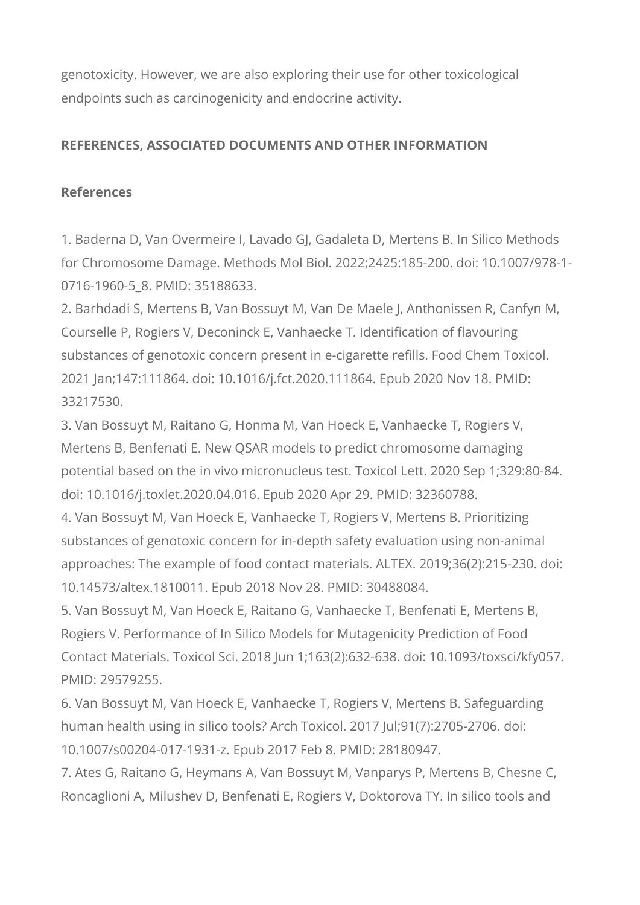genotoxicity. However, we are also exploring their use for other toxicological endpoints such as carcinogenicity and endocrine activity.

## **REFERENCES, ASSOCIATED DOCUMENTS AND OTHER INFORMATION**

## **References**

1. Baderna D, Van Overmeire I, Lavado GJ, Gadaleta D, Mertens B. In Silico Methods for Chromosome Damage. Methods Mol Biol. 2022;2425:185-200. doi: 10.1007/978-1- 0716-1960-5 8. PMID: 35188633.

2. Barhdadi S, Mertens B, Van Bossuyt M, Van De Maele J, Anthonissen R, Canfyn M, Courselle P, Rogiers V, Deconinck E, Vanhaecke T. Identification of flavouring substances of genotoxic concern present in e-cigarette refills. Food Chem Toxicol. 2021 Jan;147:111864. doi: 10.1016/j.fct.2020.111864. Epub 2020 Nov 18. PMID: 33217530.

3. Van Bossuyt M, Raitano G, Honma M, Van Hoeck E, Vanhaecke T, Rogiers V, Mertens B, Benfenati E. New QSAR models to predict chromosome damaging potential based on the in vivo micronucleus test. Toxicol Lett. 2020 Sep 1;329:80-84. doi: 10.1016/j.toxlet.2020.04.016. Epub 2020 Apr 29. PMID: 32360788.

4. Van Bossuyt M, Van Hoeck E, Vanhaecke T, Rogiers V, Mertens B. Prioritizing substances of genotoxic concern for in-depth safety evaluation using non-animal approaches: The example of food contact materials. ALTEX. 2019;36(2):215-230. doi: 10.14573/altex.1810011. Epub 2018 Nov 28. PMID: 30488084.

5. Van Bossuyt M, Van Hoeck E, Raitano G, Vanhaecke T, Benfenati E, Mertens B, Rogiers V. Performance of In Silico Models for Mutagenicity Prediction of Food Contact Materials. Toxicol Sci. 2018 Jun 1;163(2):632-638. doi: 10.1093/toxsci/kfy057. PMID: 29579255.

6. Van Bossuyt M, Van Hoeck E, Vanhaecke T, Rogiers V, Mertens B. Safeguarding human health using in silico tools? Arch Toxicol. 2017 Jul;91(7):2705-2706. doi: 10.1007/s00204-017-1931-z. Epub 2017 Feb 8. PMID: 28180947.

7. Ates G, Raitano G, Heymans A, Van Bossuyt M, Vanparys P, Mertens B, Chesne C, Roncaglioni A, Milushev D, Benfenati E, Rogiers V, Doktorova TY. In silico tools and